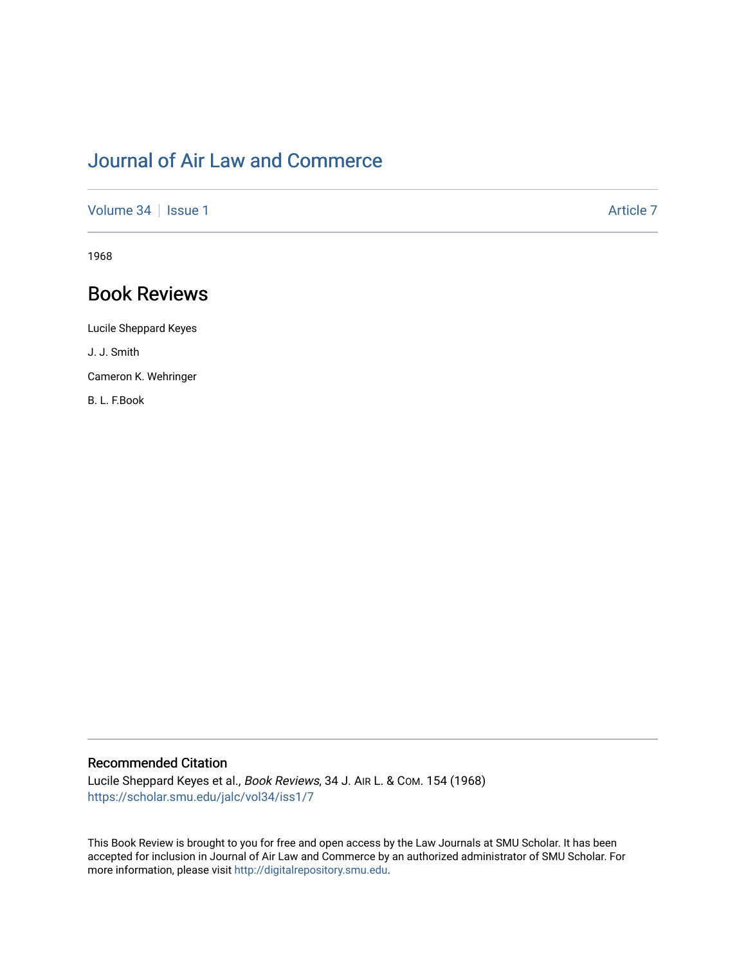# [Journal of Air Law and Commerce](https://scholar.smu.edu/jalc)

[Volume 34](https://scholar.smu.edu/jalc/vol34) | [Issue 1](https://scholar.smu.edu/jalc/vol34/iss1) Article 7

1968

## Book Reviews

Lucile Sheppard Keyes J. J. Smith

Cameron K. Wehringer

B. L. F.Book

#### Recommended Citation

Lucile Sheppard Keyes et al., Book Reviews, 34 J. AIR L. & COM. 154 (1968) [https://scholar.smu.edu/jalc/vol34/iss1/7](https://scholar.smu.edu/jalc/vol34/iss1/7?utm_source=scholar.smu.edu%2Fjalc%2Fvol34%2Fiss1%2F7&utm_medium=PDF&utm_campaign=PDFCoverPages) 

This Book Review is brought to you for free and open access by the Law Journals at SMU Scholar. It has been accepted for inclusion in Journal of Air Law and Commerce by an authorized administrator of SMU Scholar. For more information, please visit [http://digitalrepository.smu.edu](http://digitalrepository.smu.edu/).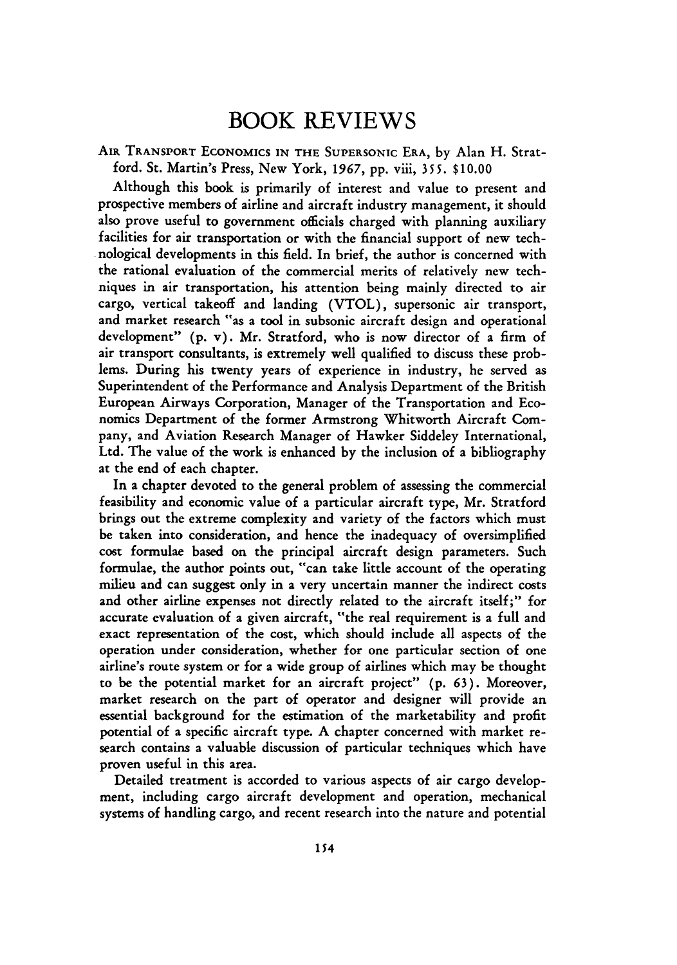### **BOOK REVIEWS**

AIR TRANSPORT ECONOMICS **IN** THE SUPERSONIC ERA, **by** Alan H. Stratford. St. Martin's Press, New York, *1967,* **pp.** viii, **355.** \$10.00

Although this book is primarily of interest and value to present and prospective members of airline and aircraft industry management, it should also prove useful to government officials charged with planning auxiliary facilities for air transportation or with the financial support of new technological developments in this field. In brief, the author is concerned with the rational evaluation of the commercial merits of relatively new techniques in air transportation, his attention being mainly directed to air cargo, vertical takeoff and landing (VTOL), supersonic air transport, and market research "as a tool in subsonic aircraft design and operational development" **(p.** v). Mr. Stratford, who is now director of a firm of air transport consultants, is extremely well qualified to discuss these problems. During his twenty years of experience in industry, he served as Superintendent of the Performance and Analysis Department of the British European Airways Corporation, Manager of the Transportation and Economics Department of the former Armstrong Whitworth Aircraft Company, and Aviation Research Manager of Hawker Siddeley International, Ltd. The value of the work is enhanced by the inclusion of a bibliography at the end of each chapter.

In a chapter devoted to the general problem of assessing the commercial feasibility and economic value of a particular aircraft type, Mr. Stratford brings out the extreme complexity and variety of the factors which must be taken into consideration, and hence the inadequacy of oversimplified cost formulae based on the principal aircraft design parameters. Such formulae, the author points out, "can take little account of the operating milieu and can suggest only in a very uncertain manner the indirect costs and other airline expenses not directly related to the aircraft itself;" for accurate evaluation of a given aircraft, "the real requirement is a full and exact representation of the cost, which should include all aspects of the operation under consideration, whether for one particular section of one airline's route system or for a wide group of airlines which may be thought to be the potential market for an aircraft project" (p. 63). Moreover, market research on the part of operator and designer will provide an essential background for the estimation of the marketability and profit potential of a specific aircraft type. **A** chapter concerned with market research contains a valuable discussion of particular techniques which have proven useful in this area.

Detailed treatment is accorded to various aspects of air cargo development, including cargo aircraft development and operation, mechanical systems of handling cargo, and recent research into the nature and potential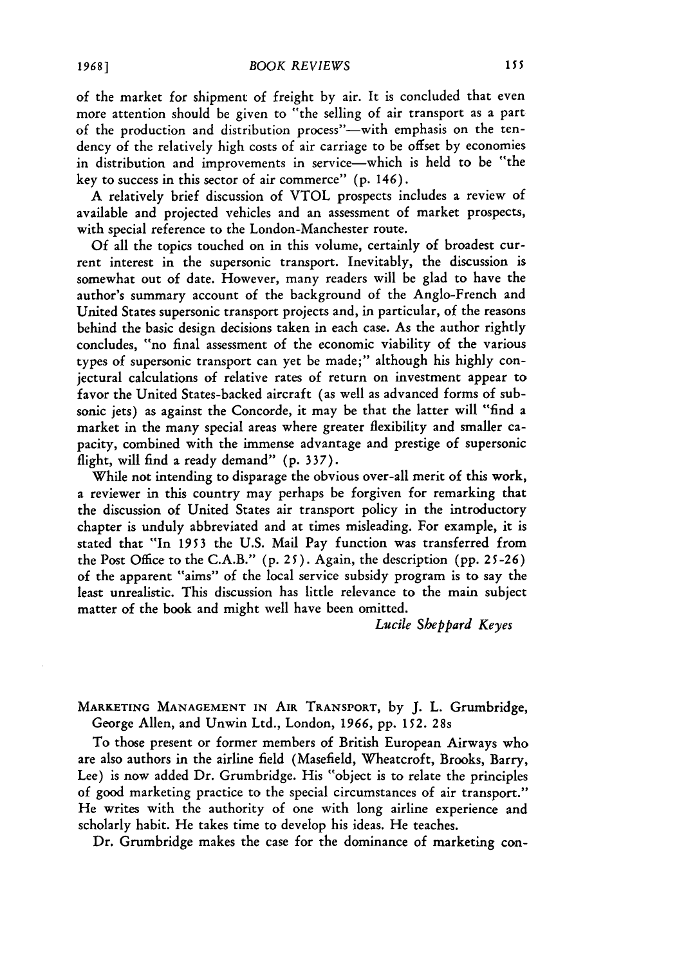of the market for shipment of freight by air. It is concluded that even more attention should be given to "the selling of air transport as a part of the production and distribution process"-with emphasis on the tendency of the relatively high costs of air carriage to be offset by economies in distribution and improvements in service-which is held to be "the key to success in this sector of air commerce" (p. 146).

A relatively brief discussion of VTOL prospects includes a review of available and projected vehicles and an assessment of market prospects, with special reference to the London-Manchester route.

**Of** all the topics touched on in this volume, certainly of broadest current interest in the supersonic transport. Inevitably, the discussion is somewhat out of date. However, many readers will be glad to have the author's summary account of the background of the Anglo-French and United States supersonic transport projects and, in particular, of the reasons behind the basic design decisions taken in each case. As the author rightly concludes, "no final assessment of the economic viability of the various types of supersonic transport can yet be made;" although his highly conjectural calculations of relative rates of return on investment appear to favor the United States-backed aircraft (as well as advanced forms of subsonic jets) as against the Concorde, it may be that the latter will "find a market in the many special areas where greater flexibility and smaller capacity, combined with the immense advantage and prestige of supersonic flight, will find a ready demand" (p. 337).

While not intending to disparage the obvious over-all merit of this work, a reviewer in this country may perhaps be forgiven for remarking that the discussion of United States air transport policy in the introductory chapter is unduly abbreviated and at times misleading. For example, it is stated that "In 1953 the U.S. Mail Pay function was transferred from the Post Office to the C.A.B." (p. 25). Again, the description (pp. 25-26) of the apparent "aims" of the local service subsidy program is to say the least unrealistic. This discussion has little relevance to the main subject matter of the book and might well have been omitted.

*Lucile Sheppard Keyes*

MARKETING **MANAGEMENT IN** AIR TRANSPORT, by J. L. Grumbridge, George Allen, and Unwin Ltd., London, *1966,* pp. 152. 28s

To those present or former members of British European Airways who are also authors in the airline field (Masefield, Wheatcroft, Brooks, Barry, Lee) is now added Dr. Grumbridge. His "object is to relate the principles of good marketing practice to the special circumstances of air transport." He writes with the authority of one with long airline experience and scholarly habit. He takes time to develop his ideas. He teaches.

Dr. Grumbridge makes the case for the dominance of marketing con-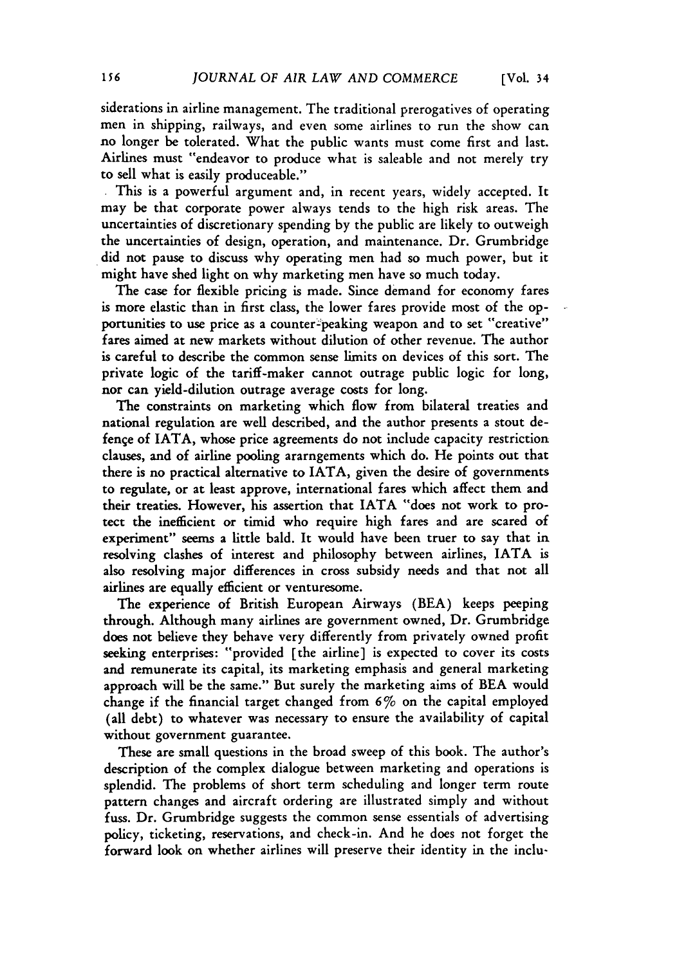siderations in airline management. The traditional prerogatives of operating men in shipping, railways, and even some airlines to run the show can no longer be tolerated. What the public wants must come first and last. Airlines must "endeavor to produce what is saleable and not merely try to sell what is easily produceable."

**.** This is a powerful argument and, in recent years, widely accepted. It may be that corporate power always tends to the high risk areas. The uncertainties of discretionary spending by the public are likely to outweigh the uncertainties of design, operation, and maintenance. Dr. Grumbridge did not pause to discuss why operating men had so much power, but it might have shed light on why marketing men have so much today.

The case for flexible pricing is made. Since demand for economy fares is more elastic than in first class, the lower fares provide most of the opportunities to use price as a counter-peaking weapon and to set "creative" fares aimed at new markets without dilution of other revenue. The author is careful to describe the common sense limits on devices of this sort. The private logic of the tariff-maker cannot outrage public logic for long, nor can yield-dilution outrage average costs for long.

The constraints on marketing which flow from bilateral treaties and national regulation are well described, and the author presents a stout defence of IATA, whose price agreements do not include capacity restriction clauses, and of airline pooling ararngements which do. He points out that there is no practical alternative to IATA, given the desire of governments to regulate, or at least approve, international fares which affect them and their treaties. However, his assertion that IATA "does not work to protect the inefficient or timid who require high fares and are scared of experiment" seems a little bald. It would have been truer to say that in resolving clashes of interest and philosophy between airlines, IATA is also resolving major differences in cross subsidy needs and that not all airlines are equally efficient or venturesome.

The experience of British European Airways (BEA) keeps peeping through. Although many airlines are government owned, Dr. Grumbridge does not believe they behave very differently from privately owned profit seeking enterprises: "provided [the airline] is expected to cover its costs and remunerate its capital, its marketing emphasis and general marketing approach will be the same." But surely the marketing aims of BEA would change if the financial target changed from  $6\%$  on the capital employed (all debt) to whatever was necessary to ensure the availability of capital without government guarantee.

These are small questions in the broad sweep of this book. The author's description of the complex dialogue between marketing and operations is splendid. The problems of short term scheduling and longer term route pattern changes and aircraft ordering are illustrated simply and without fuss. Dr. Grumbridge suggests the common sense essentials of advertising policy, ticketing, reservations, and check-in. And he does not forget the forward look on whether airlines will preserve their identity in the inclu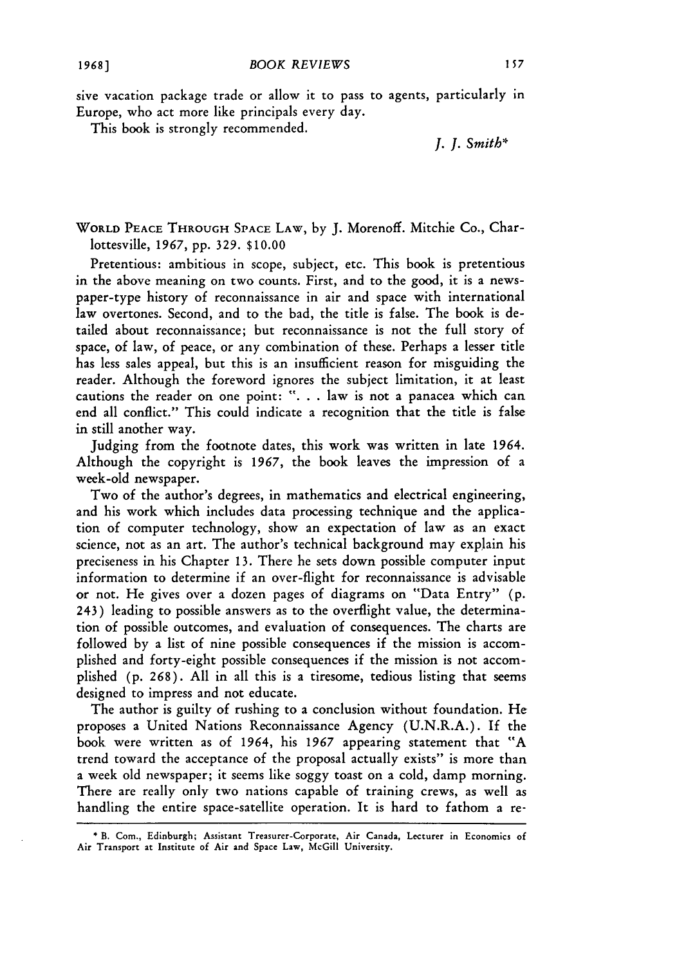sive vacation package trade or allow it to pass to agents, particularly in Europe, who act more like principals every day.

This book is strongly recommended.

*J. J. Smith\**

WORLD **PEACE** THROUGH **SPACE** LAW, by J. Morenoff. Mitchie Co., Charlottesville, **1967,** pp. 329. **\$10.00**

Pretentious: ambitious in scope, subject, etc. This book is pretentious in the above meaning on two counts. First, and to the good, it is a newspaper-type history of reconnaissance in air and space with international law overtones. Second, and to the bad, the title is false. The book is detailed about reconnaissance; but reconnaissance is not the full story of space, of law, of peace, or any combination of these. Perhaps a lesser title has less sales appeal, but this is an insufficient reason for misguiding the reader. Although the foreword ignores the subject limitation, it at least cautions the reader on one point: **". .** . law is not a panacea which can end all conflict." This could indicate a recognition that the title is false in still another way.

Judging from the footnote dates, this work was written in late 1964. Although the copyright is 1967, the book leaves the impression of a week-old newspaper.

Two of the author's degrees, in mathematics and electrical engineering, and his work which includes data processing technique and the application of computer technology, show an expectation of law as an exact science, not as an art. The author's technical background may explain his preciseness in his Chapter **13.** There he sets down possible computer input information to determine if an over-flight for reconnaissance is advisable or not. He gives over a dozen pages of diagrams on "Data Entry" (p. 243) leading to possible answers as to the overflight value, the determination of possible outcomes, and evaluation of consequences. The charts are followed by a list of nine possible consequences if the mission is accomplished and forty-eight possible consequences if the mission is not accomplished (p. **268).** All in all this is a tiresome, tedious listing that seems designed to impress and not educate.

The author is guilty of rushing to a conclusion without foundation. He proposes a United Nations Reconnaissance Agency (U.N.R.A.). If the book were written as of 1964, his 1967 appearing statement that "A trend toward the acceptance of the proposal actually exists" is more than a week old newspaper; it seems like soggy toast on a cold, damp morning. There are really only two nations capable of training crews, as well as handling the entire space-satellite operation. It is hard to fathom a re-

<sup>\*</sup> B. Com., Edinburgh; Assistant Treasurer-Corporate, Air **Canada,** Lecturer in Economics **of Air** Transport at Institute **of Air and** Space Law, McGill University.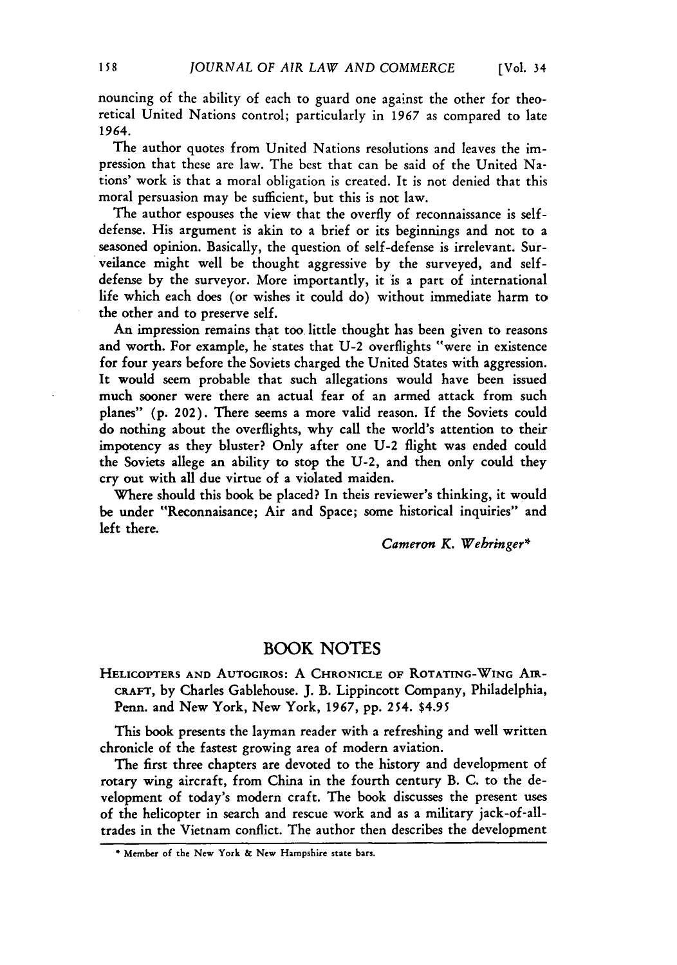nouncing of the ability of each to guard one against the other for theoretical United Nations control; particularly in *1967* as compared to late 1964.

The author quotes from United Nations resolutions and leaves the impression that these are law. The best that can be said of the United Nations' work is that a moral obligation is created. It is not denied that this moral persuasion may be sufficient, but this is not law.

The author espouses the view that the overfly of reconnaissance is selfdefense. His argument is akin to a brief or its beginnings and not to a seasoned opinion. Basically, the question of self-defense is irrelevant. Surveilance might well be thought aggressive **by** the surveyed, and selfdefense **by** the surveyor. More importantly, it is a part of international life which each does (or wishes it could do) without immediate harm to the other and to preserve self.

An impression remains that too little thought has been given to reasons and worth. For example, he states that **U-2** overflights "were in existence for four years before the Soviets charged the United States with aggression. It would seem probable that such allegations would have been issued much sooner were there an actual fear of an armed attack from such planes" **(p.** 202). There seems a more valid reason. **If** the Soviets could do nothing about the overflights, why call the world's attention to their impotency as they bluster? Only after one **U-2** flight was ended could the Soviets allege an ability to stop the **U-2,** and then only could they cry out with all due virtue of a violated maiden.

Where should this book be placed? In theis reviewer's thinking, it would be under "Reconnaisance; Air and Space; some historical inquiries" and left there.

*Cameron K. Webringer\**

#### BOOK **NOTES**

HELICOPTERS **AND AUTOGIROS:** A CHRONICLE **OF ROTATING-WING** AIR-**CRAFT,** by Charles Gablehouse. **J.** B. Lippincott Company, Philadelphia, Penn. and New York, New York, 1967, **pp.** 254. \$4.95

This book presents the layman reader with a refreshing and well written chronicle of the fastest growing area of modern aviation.

The first three chapters are devoted to the history and development of rotary wing aircraft, from China in the fourth century B. **C.** to the development of today's modern craft. The book discusses the present uses **of** the helicopter in search and rescue work and as a military jack-of-alltrades in the Vietnam conflict. The author then describes the development

**<sup>\*</sup>** Member **of the** New **York &** New Hampshire **state bars.**